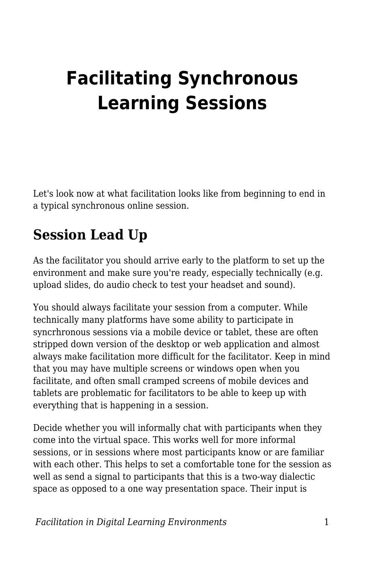# **Facilitating Synchronous Learning Sessions**

Let's look now at what facilitation looks like from beginning to end in a typical synchronous online session.

### **Session Lead Up**

As the facilitator you should arrive early to the platform to set up the environment and make sure you're ready, especially technically (e.g. upload slides, do audio check to test your headset and sound).

You should always facilitate your session from a computer. While technically many platforms have some ability to participate in syncrhronous sessions via a mobile device or tablet, these are often stripped down version of the desktop or web application and almost always make facilitation more difficult for the facilitator. Keep in mind that you may have multiple screens or windows open when you facilitate, and often small cramped screens of mobile devices and tablets are problematic for facilitators to be able to keep up with everything that is happening in a session.

Decide whether you will informally chat with participants when they come into the virtual space. This works well for more informal sessions, or in sessions where most participants know or are familiar with each other. This helps to set a comfortable tone for the session as well as send a signal to participants that this is a two-way dialectic space as opposed to a one way presentation space. Their input is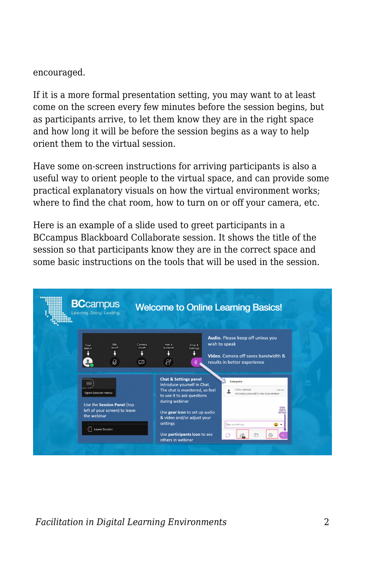#### encouraged.

If it is a more formal presentation setting, you may want to at least come on the screen every few minutes before the session begins, but as participants arrive, to let them know they are in the right space and how long it will be before the session begins as a way to help orient them to the virtual session.

Have some on-screen instructions for arriving participants is also a useful way to orient people to the virtual space, and can provide some practical explanatory visuals on how the virtual environment works; where to find the chat room, how to turn on or off your camera, etc.

Here is an example of a slide used to greet participants in a BCcampus Blackboard Collaborate session. It shows the title of the session so that participants know they are in the correct space and some basic instructions on the tools that will be used in the session.



*Facilitation in Digital Learning Environments* 2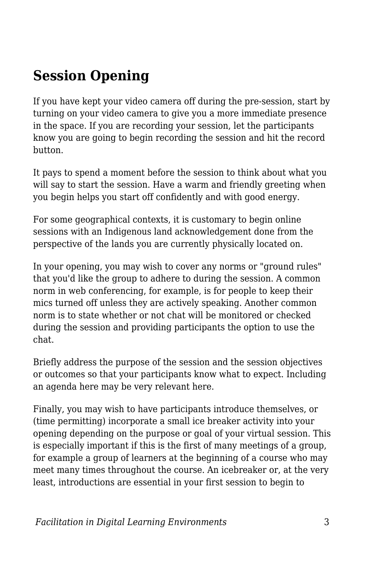### **Session Opening**

If you have kept your video camera off during the pre-session, start by turning on your video camera to give you a more immediate presence in the space. If you are recording your session, let the participants know you are going to begin recording the session and hit the record button.

It pays to spend a moment before the session to think about what you will say to start the session. Have a warm and friendly greeting when you begin helps you start off confidently and with good energy.

For some geographical contexts, it is customary to begin online sessions with an Indigenous land acknowledgement done from the perspective of the lands you are currently physically located on.

In your opening, you may wish to cover any norms or "ground rules" that you'd like the group to adhere to during the session. A common norm in web conferencing, for example, is for people to keep their mics turned off unless they are actively speaking. Another common norm is to state whether or not chat will be monitored or checked during the session and providing participants the option to use the chat.

Briefly address the purpose of the session and the session objectives or outcomes so that your participants know what to expect. Including an agenda here may be very relevant here.

Finally, you may wish to have participants introduce themselves, or (time permitting) incorporate a small ice breaker activity into your opening depending on the purpose or goal of your virtual session. This is especially important if this is the first of many meetings of a group, for example a group of learners at the beginning of a course who may meet many times throughout the course. An icebreaker or, at the very least, introductions are essential in your first session to begin to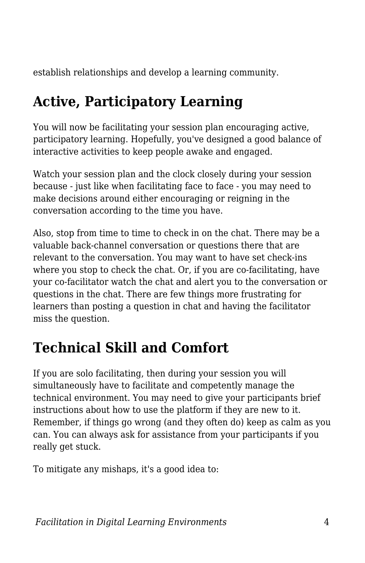establish relationships and develop a learning community.

## **Active, Participatory Learning**

You will now be facilitating your session plan encouraging active, participatory learning. Hopefully, you've designed a good balance of interactive activities to keep people awake and engaged.

Watch your session plan and the clock closely during your session because - just like when facilitating face to face - you may need to make decisions around either encouraging or reigning in the conversation according to the time you have.

Also, stop from time to time to check in on the chat. There may be a valuable back-channel conversation or questions there that are relevant to the conversation. You may want to have set check-ins where you stop to check the chat. Or, if you are co-facilitating, have your co-facilitator watch the chat and alert you to the conversation or questions in the chat. There are few things more frustrating for learners than posting a question in chat and having the facilitator miss the question.

## **Technical Skill and Comfort**

If you are solo facilitating, then during your session you will simultaneously have to facilitate and competently manage the technical environment. You may need to give your participants brief instructions about how to use the platform if they are new to it. Remember, if things go wrong (and they often do) keep as calm as you can. You can always ask for assistance from your participants if you really get stuck.

To mitigate any mishaps, it's a good idea to: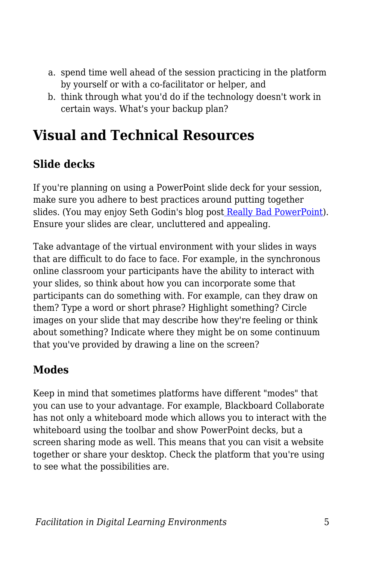- a. spend time well ahead of the session practicing in the platform by yourself or with a co-facilitator or helper, and
- b. think through what you'd do if the technology doesn't work in certain ways. What's your backup plan?

### **Visual and Technical Resources**

### **Slide decks**

If you're planning on using a PowerPoint slide deck for your session, make sure you adhere to best practices around putting together slides. (You may enjoy Se[t](http://sethgodin.typepad.com/seths_blog/2007/01/really_bad_powe.html)h Godin's blog post [Really Bad PowerPoint](http://sethgodin.typepad.com/seths_blog/2007/01/really_bad_powe.html)). Ensure your slides are clear, uncluttered and appealing.

Take advantage of the virtual environment with your slides in ways that are difficult to do face to face. For example, in the synchronous online classroom your participants have the ability to interact with your slides, so think about how you can incorporate some that participants can do something with. For example, can they draw on them? Type a word or short phrase? Highlight something? Circle images on your slide that may describe how they're feeling or think about something? Indicate where they might be on some continuum that you've provided by drawing a line on the screen?

#### **Modes**

Keep in mind that sometimes platforms have different "modes" that you can use to your advantage. For example, Blackboard Collaborate has not only a whiteboard mode which allows you to interact with the whiteboard using the toolbar and show PowerPoint decks, but a screen sharing mode as well. This means that you can visit a website together or share your desktop. Check the platform that you're using to see what the possibilities are.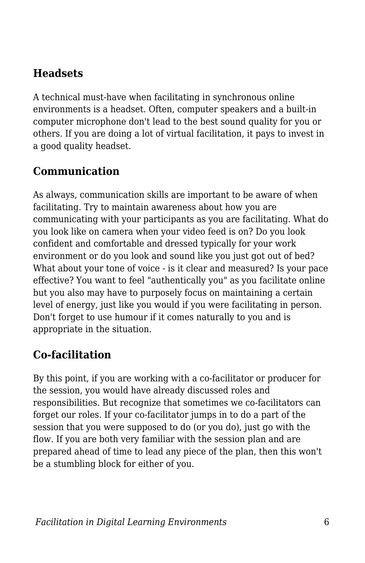#### **Headsets**

A technical must-have when facilitating in synchronous online environments is a headset. Often, computer speakers and a built-in computer microphone don't lead to the best sound quality for you or others. If you are doing a lot of virtual facilitation, it pays to invest in a good quality headset.

#### **Communication**

As always, communication skills are important to be aware of when facilitating. Try to maintain awareness about how you are communicating with your participants as you are facilitating. What do you look like on camera when your video feed is on? Do you look confident and comfortable and dressed typically for your work environment or do you look and sound like you just got out of bed? What about your tone of voice - is it clear and measured? Is your pace effective? You want to feel "authentically you" as you facilitate online but you also may have to purposely focus on maintaining a certain level of energy, just like you would if you were facilitating in person. Don't forget to use humour if it comes naturally to you and is appropriate in the situation.

#### **Co-facilitation**

By this point, if you are working with a co-facilitator or producer for the session, you would have already discussed roles and responsibilities. But recognize that sometimes we co-facilitators can forget our roles. If your co-facilitator jumps in to do a part of the session that you were supposed to do (or you do), just go with the flow. If you are both very familiar with the session plan and are prepared ahead of time to lead any piece of the plan, then this won't be a stumbling block for either of you.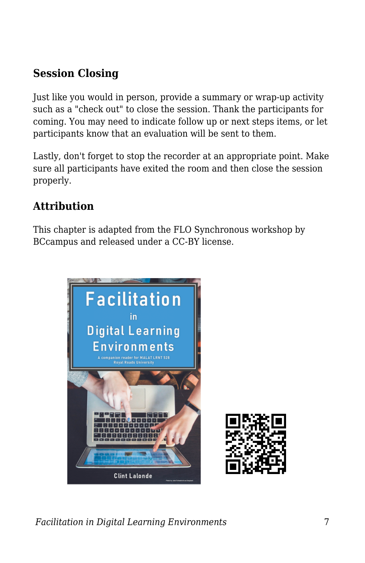#### **Session Closing**

Just like you would in person, provide a summary or wrap-up activity such as a "check out" to close the session. Thank the participants for coming. You may need to indicate follow up or next steps items, or let participants know that an evaluation will be sent to them.

Lastly, don't forget to stop the recorder at an appropriate point. Make sure all participants have exited the room and then close the session properly.

#### **Attribution**

This chapter is adapted from the FLO Synchronous workshop by BCcampus and released under a CC-BY license.